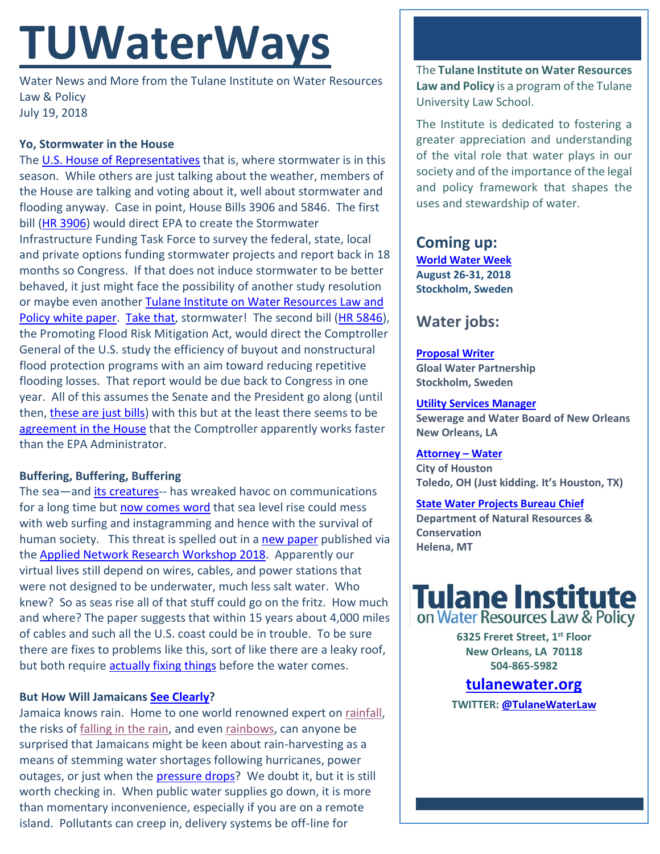# **TUWaterWays**

Water News and More from the Tulane Institute on Water Resources Law & Policy July 19, 2018

#### **Yo, Stormwater in the House**

The [U.S. House of Representatives](https://media.giphy.com/media/3orif37zzK6vJckzKg/giphy.gif) that is, where stormwater is in this season. While others are just talking about the weather, members of the House are talking and voting about it, well about stormwater and flooding anyway. Case in point, House Bills 3906 and 5846. The first bill [\(HR 3906\)](https://transportation.house.gov/uploadedfiles/2018-06-27_-_h.r._3906_-_ans_text.pdf) would direct EPA to create the Stormwater Infrastructure Funding Task Force to survey the federal, state, local and private options funding stormwater projects and report back in 18 months so Congress. If that does not induce stormwater to be better behaved, it just might face the possibility of another study resolution or maybe even another Tulane Institute on Water Resources Law and [Policy white paper.](http://www.tulanewater.org/papers) [Take that,](https://www.youtube.com/watch?v=TxEVPe7XMcs) stormwater! The second bill [\(HR 5846\)](https://www.congress.gov/115/bills/hr5846/BILLS-115hr5846ih.pdf), the Promoting Flood Risk Mitigation Act, would direct the Comptroller General of the U.S. study the efficiency of buyout and nonstructural flood protection programs with an aim toward reducing repetitive flooding losses. That report would be due back to Congress in one year. All of this assumes the Senate and the President go along (until then, [these are just bills\)](https://www.bing.com/videos/search?q=i%27m+just+a+bill&&view=detail&mid=139FA145BEE70B1B7B2D139FA145BEE70B1B7B2D&&FORM=VRDGAR) with this but at the least there seems to be [agreement in the House](http://i.imgur.com/a1yvfFS.gif) that the Comptroller apparently works faster than the EPA Administrator.

#### **Buffering, Buffering, Buffering**

The sea-and *its creatures*-- has wreaked havoc on communications for a long time but [now comes word](https://www.npr.org/2018/07/16/627254166/rising-seas-could-cause-problems-for-internet-infrastructure) that sea level rise could mess with web surfing and instagramming and hence with the survival of human society. This threat is spelled out in a [new paper](https://www.documentcloud.org/documents/4600140-Durairajan-ANRW-2018.html) published via the [Applied Network Research Workshop 2018.](https://irtf.org/anrw/2018/) Apparently our virtual lives still depend on wires, cables, and power stations that were not designed to be underwater, much less salt water. Who knew? So as seas rise all of that stuff could go on the fritz. How much and where? The paper suggests that within 15 years about 4,000 miles of cables and such all the U.S. coast could be in trouble. To be sure there are fixes to problems like this, sort of like there are a leaky roof, but both require [actually fixing things](https://www.youtube.com/watch?v=ebNX4Dz1U6c) before the water comes.

#### **But How Will Jamaicans [See Clearly?](https://www.youtube.com/watch?v=FZ3OnnN39l8)**

Jamaica knows rain. Home to one world renowned expert on [rainfall,](https://www.youtube.com/watch?v=1pyeMjrwzFc) the risks of [falling in the rain,](https://www.youtube.com/watch?v=WXCRRTZ_Jbs) and even [rainbows,](https://www.youtube.com/watch?v=UPeIGxPrD3A) can anyone be surprised that Jamaicans might be keen about rain-harvesting as a means of stemming water shortages following hurricanes, power outages, or just when the [pressure drops?](https://www.youtube.com/watch?v=tfJM5pagSDQ) We doubt it, but it is still worth checking in. When public water supplies go down, it is more than momentary inconvenience, especially if you are on a remote island. Pollutants can creep in, delivery systems be off-line for

The **Tulane Institute on Water Resources Law and Policy** is a program of the Tulane University Law School.

The Institute is dedicated to fostering a greater appreciation and understanding of the vital role that water plays in our society and of the importance of the legal and policy framework that shapes the uses and stewardship of water.

## **Coming up:**

**[World Water Week](http://www.worldwaterweek.org/) August 26-31, 2018 Stockholm, Sweden**

## **Water jobs:**

#### **[Proposal](https://www.joshswaterjobs.com/jobs/8977) Writer**

**Gloal Water Partnership Stockholm, Sweden**

#### **Utility [Services Manager](https://www.governmentjobs.com/careers/neworleans/jobs/1669977/utility-senior-services-manager-economically-disadvantaged-business-program-cl?sort=Salary%7CDescending&keywords=water&pagetype=jobOpportunitiesJobshttps://www.usajobs.gov/GetJob/ViewDetails/501983400)**

**Sewerage and Water Board of New Orleans New Orleans, LA** 

#### **[Attorney](https://l.tx.bar.associationcareernetwork.com/job/attorney-water/42423132/) – Water**

**City of Houston Toledo, OH (Just kidding. It's Houston, TX)**

#### **[State Water Projects Bureau Chief](https://prismpointe.jobs/helena-mt/state-water-projects-bureau-chief50200/2AD3AE2E446D4DFF8BAB1CCE08B44BAD/job/)**

**Department of Natural Resources & Conservation Helena, MT**



**6325 Freret Street, 1st Floor New Orleans, LA 70118 504-865-5982** 

### **tulanewater.org**

**TWITTER[: @TulaneWaterLaw](http://www.twitter.com/TulaneWaterLaw)**